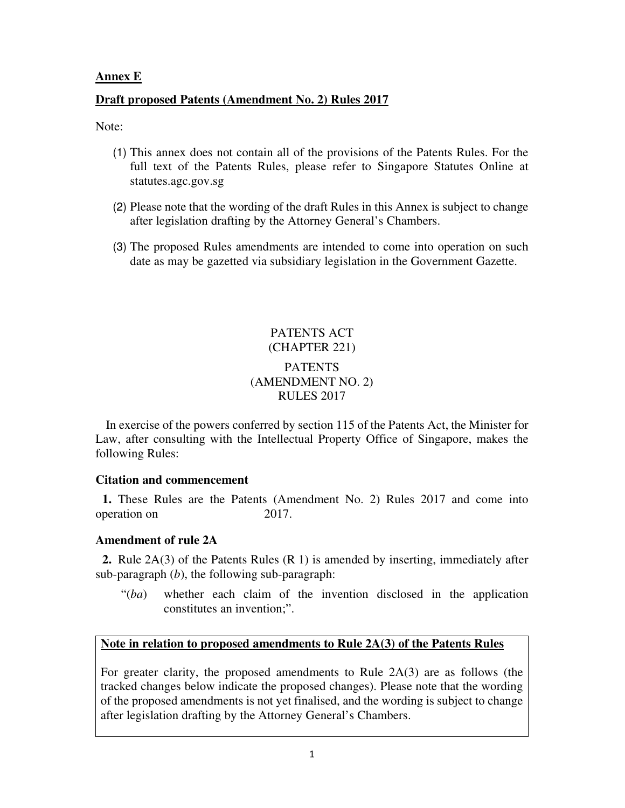# **Annex E**

# **Draft proposed Patents (Amendment No. 2) Rules 2017**

Note:

- (1) This annex does not contain all of the provisions of the Patents Rules. For the full text of the Patents Rules, please refer to Singapore Statutes Online at statutes.agc.gov.sg
- (2) Please note that the wording of the draft Rules in this Annex is subject to change after legislation drafting by the Attorney General's Chambers.
- (3) The proposed Rules amendments are intended to come into operation on such date as may be gazetted via subsidiary legislation in the Government Gazette.

# PATENTS ACT (CHAPTER 221) **PATENTS** (AMENDMENT NO. 2) RULES 2017

In exercise of the powers conferred by section 115 of the Patents Act, the Minister for Law, after consulting with the Intellectual Property Office of Singapore, makes the following Rules:

## **Citation and commencement**

**1.** These Rules are the Patents (Amendment No. 2) Rules 2017 and come into operation on 2017.

## **Amendment of rule 2A**

**2.** Rule 2A(3) of the Patents Rules (R 1) is amended by inserting, immediately after sub-paragraph (*b*), the following sub-paragraph:

 "(*ba*) whether each claim of the invention disclosed in the application constitutes an invention;".

## **Note in relation to proposed amendments to Rule 2A(3) of the Patents Rules**

For greater clarity, the proposed amendments to Rule 2A(3) are as follows (the tracked changes below indicate the proposed changes). Please note that the wording of the proposed amendments is not yet finalised, and the wording is subject to change after legislation drafting by the Attorney General's Chambers.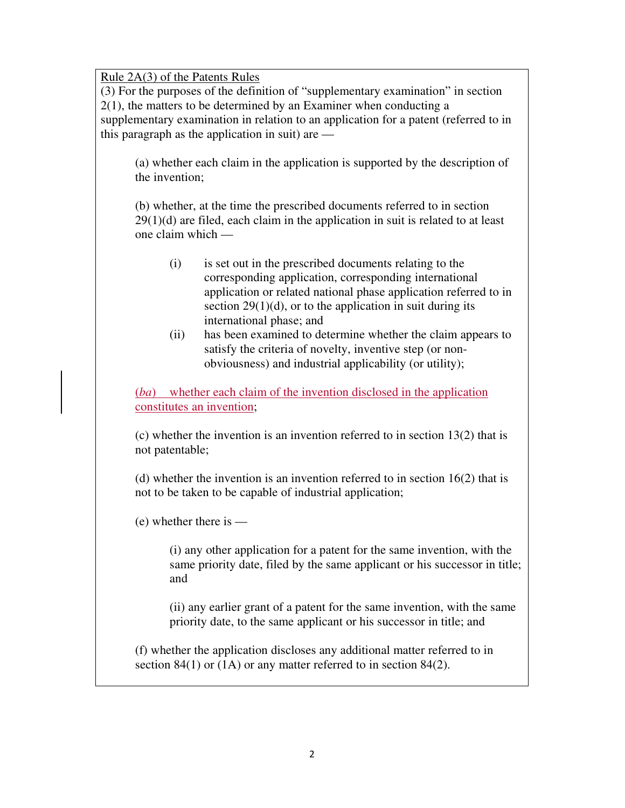Rule 2A(3) of the Patents Rules

(3) For the purposes of the definition of "supplementary examination" in section 2(1), the matters to be determined by an Examiner when conducting a supplementary examination in relation to an application for a patent (referred to in this paragraph as the application in suit) are —

(a) whether each claim in the application is supported by the description of the invention;

(b) whether, at the time the prescribed documents referred to in section 29(1)(d) are filed, each claim in the application in suit is related to at least one claim which —

- (i) is set out in the prescribed documents relating to the corresponding application, corresponding international application or related national phase application referred to in section  $29(1)(d)$ , or to the application in suit during its international phase; and
- (ii) has been examined to determine whether the claim appears to satisfy the criteria of novelty, inventive step (or nonobviousness) and industrial applicability (or utility);

(*ba*) whether each claim of the invention disclosed in the application constitutes an invention;

(c) whether the invention is an invention referred to in section 13(2) that is not patentable;

(d) whether the invention is an invention referred to in section 16(2) that is not to be taken to be capable of industrial application;

(e) whether there is —

(i) any other application for a patent for the same invention, with the same priority date, filed by the same applicant or his successor in title; and

(ii) any earlier grant of a patent for the same invention, with the same priority date, to the same applicant or his successor in title; and

(f) whether the application discloses any additional matter referred to in section 84(1) or (1A) or any matter referred to in section 84(2).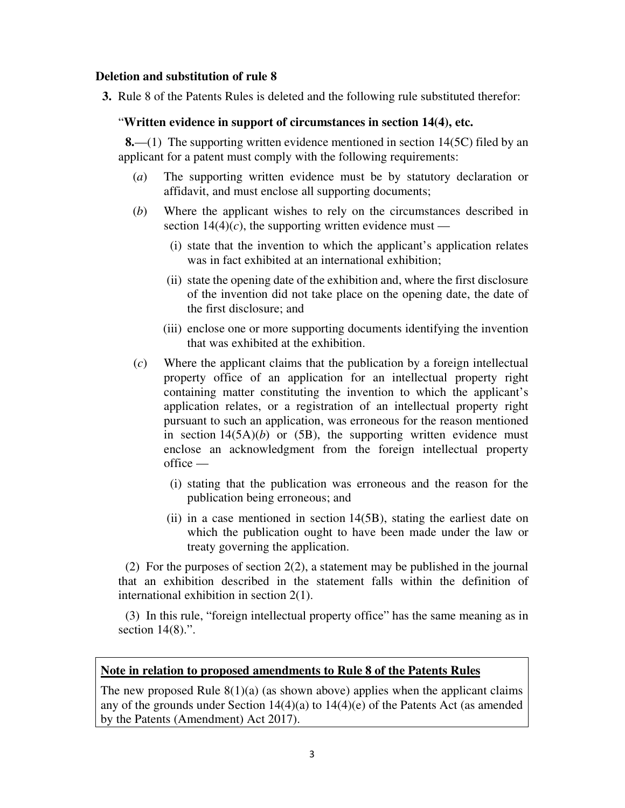#### **Deletion and substitution of rule 8**

**3.** Rule 8 of the Patents Rules is deleted and the following rule substituted therefor:

#### "**Written evidence in support of circumstances in section 14(4), etc.**

**8.**—(1) The supporting written evidence mentioned in section 14(5C) filed by an applicant for a patent must comply with the following requirements:

- (*a*) The supporting written evidence must be by statutory declaration or affidavit, and must enclose all supporting documents;
- (*b*) Where the applicant wishes to rely on the circumstances described in section  $14(4)(c)$ , the supporting written evidence must —
	- (i) state that the invention to which the applicant's application relates was in fact exhibited at an international exhibition;
	- (ii) state the opening date of the exhibition and, where the first disclosure of the invention did not take place on the opening date, the date of the first disclosure; and
	- (iii) enclose one or more supporting documents identifying the invention that was exhibited at the exhibition.
- (*c*) Where the applicant claims that the publication by a foreign intellectual property office of an application for an intellectual property right containing matter constituting the invention to which the applicant's application relates, or a registration of an intellectual property right pursuant to such an application, was erroneous for the reason mentioned in section  $14(5A)(b)$  or  $(5B)$ , the supporting written evidence must enclose an acknowledgment from the foreign intellectual property office —
	- (i) stating that the publication was erroneous and the reason for the publication being erroneous; and
	- (ii) in a case mentioned in section 14(5B), stating the earliest date on which the publication ought to have been made under the law or treaty governing the application.

(2) For the purposes of section 2(2), a statement may be published in the journal that an exhibition described in the statement falls within the definition of international exhibition in section 2(1).

(3) In this rule, "foreign intellectual property office" has the same meaning as in section  $14(8)$ .".

#### **Note in relation to proposed amendments to Rule 8 of the Patents Rules**

The new proposed Rule  $8(1)(a)$  (as shown above) applies when the applicant claims any of the grounds under Section 14(4)(a) to 14(4)(e) of the Patents Act (as amended by the Patents (Amendment) Act 2017).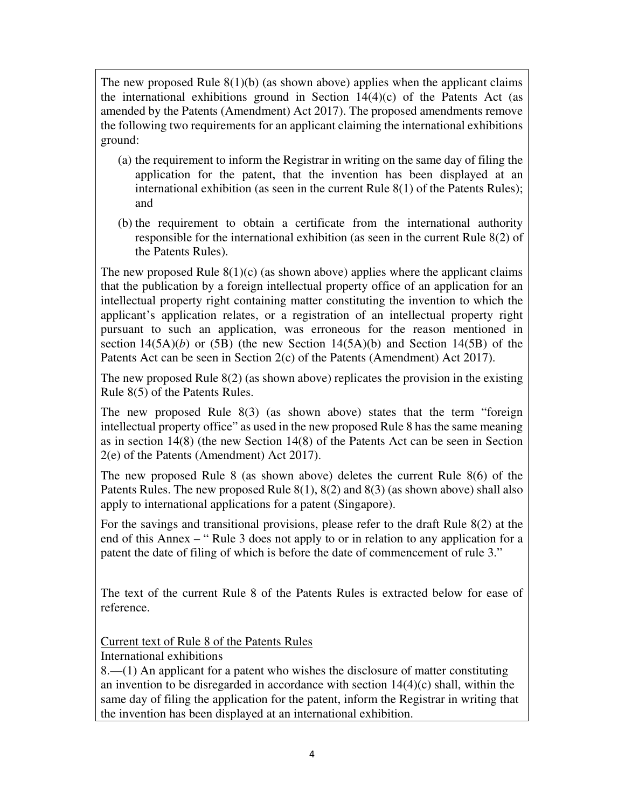The new proposed Rule  $8(1)(b)$  (as shown above) applies when the applicant claims the international exhibitions ground in Section  $14(4)(c)$  of the Patents Act (as amended by the Patents (Amendment) Act 2017). The proposed amendments remove the following two requirements for an applicant claiming the international exhibitions ground:

- (a) the requirement to inform the Registrar in writing on the same day of filing the application for the patent, that the invention has been displayed at an international exhibition (as seen in the current Rule 8(1) of the Patents Rules); and
- (b) the requirement to obtain a certificate from the international authority responsible for the international exhibition (as seen in the current Rule 8(2) of the Patents Rules).

The new proposed Rule  $8(1)(c)$  (as shown above) applies where the applicant claims that the publication by a foreign intellectual property office of an application for an intellectual property right containing matter constituting the invention to which the applicant's application relates, or a registration of an intellectual property right pursuant to such an application, was erroneous for the reason mentioned in section  $14(5A)(b)$  or  $(5B)$  (the new Section  $14(5A)(b)$  and Section 14(5B) of the Patents Act can be seen in Section 2(c) of the Patents (Amendment) Act 2017).

The new proposed Rule  $8(2)$  (as shown above) replicates the provision in the existing Rule 8(5) of the Patents Rules.

The new proposed Rule 8(3) (as shown above) states that the term "foreign intellectual property office" as used in the new proposed Rule 8 has the same meaning as in section 14(8) (the new Section 14(8) of the Patents Act can be seen in Section 2(e) of the Patents (Amendment) Act 2017).

The new proposed Rule 8 (as shown above) deletes the current Rule 8(6) of the Patents Rules. The new proposed Rule 8(1), 8(2) and 8(3) (as shown above) shall also apply to international applications for a patent (Singapore).

For the savings and transitional provisions, please refer to the draft Rule 8(2) at the end of this Annex – " Rule 3 does not apply to or in relation to any application for a patent the date of filing of which is before the date of commencement of rule 3."

The text of the current Rule 8 of the Patents Rules is extracted below for ease of reference.

Current text of Rule 8 of the Patents Rules

International exhibitions

8.—(1) An applicant for a patent who wishes the disclosure of matter constituting an invention to be disregarded in accordance with section 14(4)(c) shall, within the same day of filing the application for the patent, inform the Registrar in writing that the invention has been displayed at an international exhibition.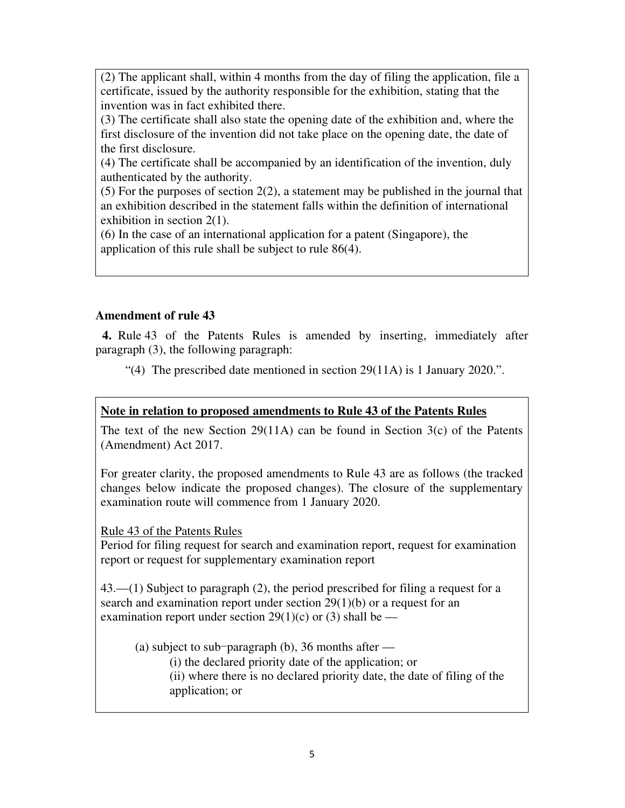(2) The applicant shall, within 4 months from the day of filing the application, file a certificate, issued by the authority responsible for the exhibition, stating that the invention was in fact exhibited there.

(3) The certificate shall also state the opening date of the exhibition and, where the first disclosure of the invention did not take place on the opening date, the date of the first disclosure.

(4) The certificate shall be accompanied by an identification of the invention, duly authenticated by the authority.

(5) For the purposes of section 2(2), a statement may be published in the journal that an exhibition described in the statement falls within the definition of international exhibition in section 2(1).

(6) In the case of an international application for a patent (Singapore), the application of this rule shall be subject to rule 86(4).

# **Amendment of rule 43**

**4.** Rule 43 of the Patents Rules is amended by inserting, immediately after paragraph (3), the following paragraph:

"(4) The prescribed date mentioned in section 29(11A) is 1 January 2020.".

# **Note in relation to proposed amendments to Rule 43 of the Patents Rules**

The text of the new Section 29(11A) can be found in Section  $3(c)$  of the Patents (Amendment) Act 2017.

For greater clarity, the proposed amendments to Rule 43 are as follows (the tracked changes below indicate the proposed changes). The closure of the supplementary examination route will commence from 1 January 2020.

Rule 43 of the Patents Rules

Period for filing request for search and examination report, request for examination report or request for supplementary examination report

43.—(1) Subject to paragraph (2), the period prescribed for filing a request for a search and examination report under section 29(1)(b) or a request for an examination report under section 29(1)(c) or (3) shall be —

(a) subject to sub-paragraph (b), 36 months after  $-$ 

(i) the declared priority date of the application; or (ii) where there is no declared priority date, the date of filing of the

application; or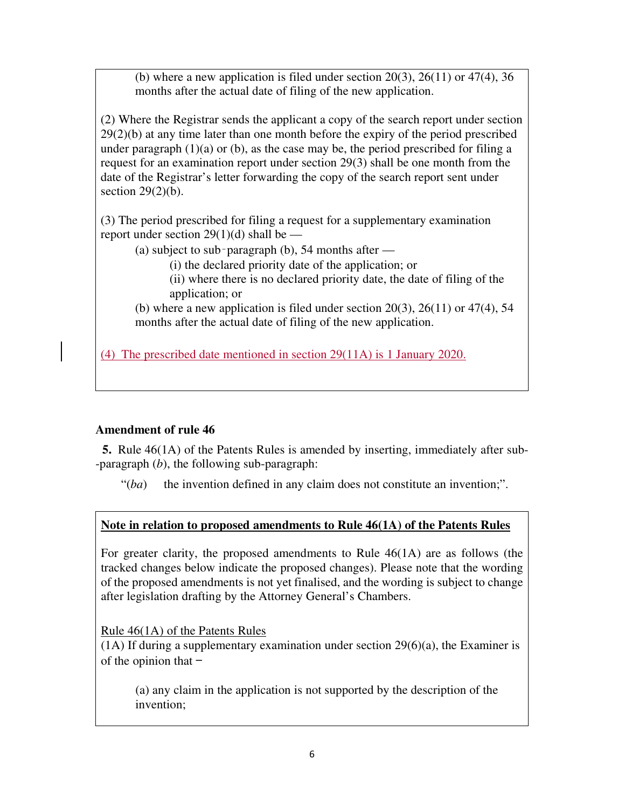(b) where a new application is filed under section  $20(3)$ ,  $26(11)$  or  $47(4)$ ,  $36$ months after the actual date of filing of the new application.

(2) Where the Registrar sends the applicant a copy of the search report under section 29(2)(b) at any time later than one month before the expiry of the period prescribed under paragraph  $(1)(a)$  or  $(b)$ , as the case may be, the period prescribed for filing a request for an examination report under section 29(3) shall be one month from the date of the Registrar's letter forwarding the copy of the search report sent under section  $29(2)(b)$ .

(3) The period prescribed for filing a request for a supplementary examination report under section 29(1)(d) shall be  $-$ 

(a) subject to sub-paragraph (b),  $54$  months after —

(i) the declared priority date of the application; or

(ii) where there is no declared priority date, the date of filing of the application; or

(b) where a new application is filed under section  $20(3)$ ,  $26(11)$  or  $47(4)$ , 54 months after the actual date of filing of the new application.

(4) The prescribed date mentioned in section 29(11A) is 1 January 2020.

# **Amendment of rule 46**

**5.** Rule 46(1A) of the Patents Rules is amended by inserting, immediately after sub- -paragraph (*b*), the following sub-paragraph:

 $"(*ba*)$  the invention defined in any claim does not constitute an invention;".

# **Note in relation to proposed amendments to Rule 46(1A) of the Patents Rules**

For greater clarity, the proposed amendments to Rule 46(1A) are as follows (the tracked changes below indicate the proposed changes). Please note that the wording of the proposed amendments is not yet finalised, and the wording is subject to change after legislation drafting by the Attorney General's Chambers.

Rule 46(1A) of the Patents Rules

(1A) If during a supplementary examination under section 29(6)(a), the Examiner is of the opinion that  $-$ 

(a) any claim in the application is not supported by the description of the invention;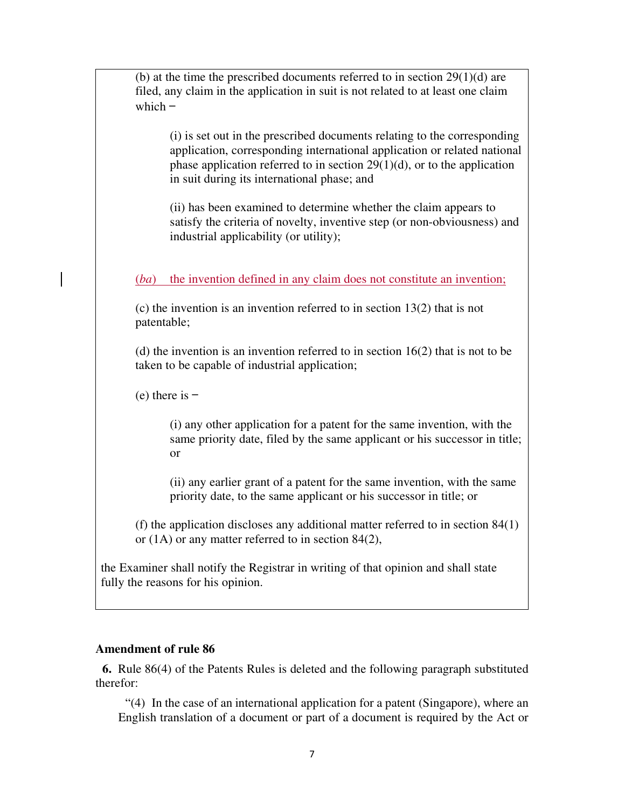(b) at the time the prescribed documents referred to in section  $29(1)(d)$  are filed, any claim in the application in suit is not related to at least one claim which  $-$ 

(i) is set out in the prescribed documents relating to the corresponding application, corresponding international application or related national phase application referred to in section  $29(1)(d)$ , or to the application in suit during its international phase; and

(ii) has been examined to determine whether the claim appears to satisfy the criteria of novelty, inventive step (or non-obviousness) and industrial applicability (or utility);

(*ba*) the invention defined in any claim does not constitute an invention;

(c) the invention is an invention referred to in section 13(2) that is not patentable;

(d) the invention is an invention referred to in section 16(2) that is not to be taken to be capable of industrial application;

 $(e)$  there is  $-$ 

(i) any other application for a patent for the same invention, with the same priority date, filed by the same applicant or his successor in title; or

(ii) any earlier grant of a patent for the same invention, with the same priority date, to the same applicant or his successor in title; or

(f) the application discloses any additional matter referred to in section 84(1) or (1A) or any matter referred to in section 84(2),

the Examiner shall notify the Registrar in writing of that opinion and shall state fully the reasons for his opinion.

#### **Amendment of rule 86**

**6.** Rule 86(4) of the Patents Rules is deleted and the following paragraph substituted therefor:

"(4) In the case of an international application for a patent (Singapore), where an English translation of a document or part of a document is required by the Act or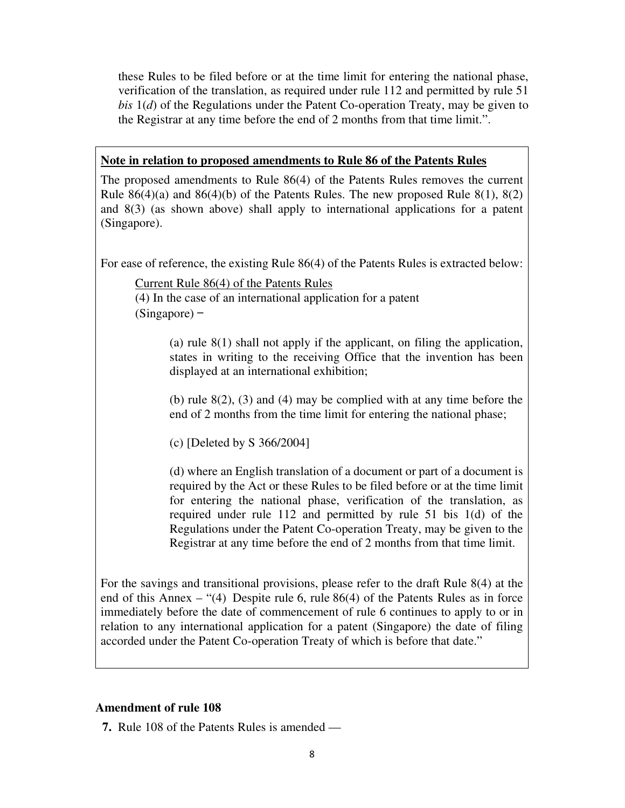these Rules to be filed before or at the time limit for entering the national phase, verification of the translation, as required under rule 112 and permitted by rule 51 *bis* 1(*d*) of the Regulations under the Patent Co-operation Treaty, may be given to the Registrar at any time before the end of 2 months from that time limit.".

# **Note in relation to proposed amendments to Rule 86 of the Patents Rules**

The proposed amendments to Rule 86(4) of the Patents Rules removes the current Rule  $86(4)(a)$  and  $86(4)(b)$  of the Patents Rules. The new proposed Rule  $8(1)$ ,  $8(2)$ and 8(3) (as shown above) shall apply to international applications for a patent (Singapore).

For ease of reference, the existing Rule 86(4) of the Patents Rules is extracted below:

Current Rule 86(4) of the Patents Rules (4) In the case of an international application for a patent (Singapore) —

> (a) rule 8(1) shall not apply if the applicant, on filing the application, states in writing to the receiving Office that the invention has been displayed at an international exhibition;

> (b) rule 8(2), (3) and (4) may be complied with at any time before the end of 2 months from the time limit for entering the national phase;

(c) [Deleted by S 366/2004]

(d) where an English translation of a document or part of a document is required by the Act or these Rules to be filed before or at the time limit for entering the national phase, verification of the translation, as required under rule 112 and permitted by rule 51 bis 1(d) of the Regulations under the Patent Co-operation Treaty, may be given to the Registrar at any time before the end of 2 months from that time limit.

For the savings and transitional provisions, please refer to the draft Rule 8(4) at the end of this Annex – "(4) Despite rule 6, rule 86(4) of the Patents Rules as in force immediately before the date of commencement of rule 6 continues to apply to or in relation to any international application for a patent (Singapore) the date of filing accorded under the Patent Co-operation Treaty of which is before that date."

## **Amendment of rule 108**

**7.** Rule 108 of the Patents Rules is amended —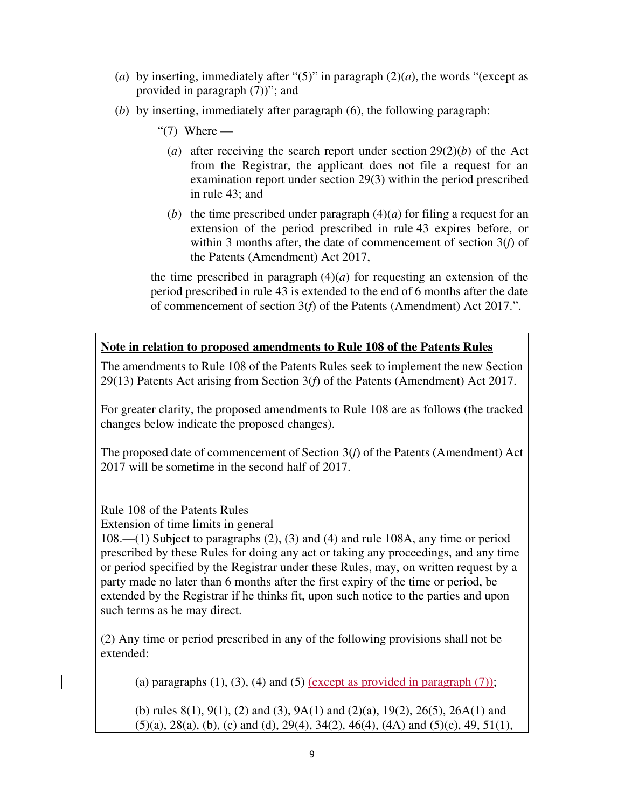- (*a*) by inserting, immediately after "(5)" in paragraph  $(2)(a)$ , the words "(except as provided in paragraph (7))"; and
- (*b*) by inserting, immediately after paragraph (6), the following paragraph:
	- " $(7)$  Where
		- (*a*) after receiving the search report under section 29(2)(*b*) of the Act from the Registrar, the applicant does not file a request for an examination report under section 29(3) within the period prescribed in rule 43; and
		- (*b*) the time prescribed under paragraph  $(4)(a)$  for filing a request for an extension of the period prescribed in rule 43 expires before, or within 3 months after, the date of commencement of section 3(*f*) of the Patents (Amendment) Act 2017,

the time prescribed in paragraph  $(4)(a)$  for requesting an extension of the period prescribed in rule 43 is extended to the end of 6 months after the date of commencement of section 3(*f*) of the Patents (Amendment) Act 2017.".

# **Note in relation to proposed amendments to Rule 108 of the Patents Rules**

The amendments to Rule 108 of the Patents Rules seek to implement the new Section 29(13) Patents Act arising from Section 3(*f*) of the Patents (Amendment) Act 2017.

For greater clarity, the proposed amendments to Rule 108 are as follows (the tracked changes below indicate the proposed changes).

The proposed date of commencement of Section 3(*f*) of the Patents (Amendment) Act 2017 will be sometime in the second half of 2017.

Rule 108 of the Patents Rules

Extension of time limits in general

108.—(1) Subject to paragraphs (2), (3) and (4) and rule 108A, any time or period prescribed by these Rules for doing any act or taking any proceedings, and any time or period specified by the Registrar under these Rules, may, on written request by a party made no later than 6 months after the first expiry of the time or period, be extended by the Registrar if he thinks fit, upon such notice to the parties and upon such terms as he may direct.

(2) Any time or period prescribed in any of the following provisions shall not be extended:

(a) paragraphs  $(1)$ ,  $(3)$ ,  $(4)$  and  $(5)$  (except as provided in paragraph  $(7)$ );

(b) rules  $8(1)$ ,  $9(1)$ ,  $(2)$  and  $(3)$ ,  $9A(1)$  and  $(2)(a)$ ,  $19(2)$ ,  $26(5)$ ,  $26A(1)$  and  $(5)(a)$ ,  $28(a)$ ,  $(b)$ ,  $(c)$  and  $(d)$ ,  $29(4)$ ,  $34(2)$ ,  $46(4)$ ,  $(4A)$  and  $(5)(c)$ ,  $49$ ,  $51(1)$ ,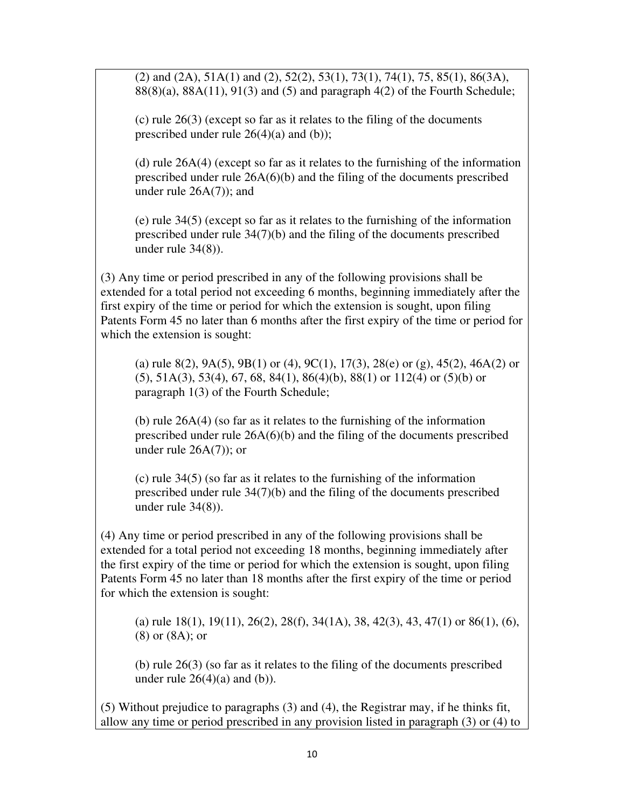(2) and (2A), 51A(1) and (2), 52(2), 53(1), 73(1), 74(1), 75, 85(1), 86(3A),  $88(8)(a)$ ,  $88A(11)$ ,  $91(3)$  and  $(5)$  and paragraph  $4(2)$  of the Fourth Schedule;

(c) rule 26(3) (except so far as it relates to the filing of the documents prescribed under rule  $26(4)(a)$  and (b));

(d) rule 26A(4) (except so far as it relates to the furnishing of the information prescribed under rule 26A(6)(b) and the filing of the documents prescribed under rule 26A(7)); and

(e) rule 34(5) (except so far as it relates to the furnishing of the information prescribed under rule 34(7)(b) and the filing of the documents prescribed under rule 34(8)).

(3) Any time or period prescribed in any of the following provisions shall be extended for a total period not exceeding 6 months, beginning immediately after the first expiry of the time or period for which the extension is sought, upon filing Patents Form 45 no later than 6 months after the first expiry of the time or period for which the extension is sought:

(a) rule 8(2), 9A(5), 9B(1) or (4), 9C(1), 17(3), 28(e) or (g), 45(2), 46A(2) or (5), 51A(3), 53(4), 67, 68, 84(1), 86(4)(b), 88(1) or 112(4) or (5)(b) or paragraph 1(3) of the Fourth Schedule;

(b) rule 26A(4) (so far as it relates to the furnishing of the information prescribed under rule 26A(6)(b) and the filing of the documents prescribed under rule 26A(7)); or

(c) rule 34(5) (so far as it relates to the furnishing of the information prescribed under rule 34(7)(b) and the filing of the documents prescribed under rule 34(8)).

(4) Any time or period prescribed in any of the following provisions shall be extended for a total period not exceeding 18 months, beginning immediately after the first expiry of the time or period for which the extension is sought, upon filing Patents Form 45 no later than 18 months after the first expiry of the time or period for which the extension is sought:

(a) rule  $18(1)$ ,  $19(11)$ ,  $26(2)$ ,  $28(f)$ ,  $34(1A)$ ,  $38$ ,  $42(3)$ ,  $43$ ,  $47(1)$  or  $86(1)$ ,  $(6)$ , (8) or (8A); or

(b) rule 26(3) (so far as it relates to the filing of the documents prescribed under rule  $26(4)(a)$  and  $(b)$ ).

(5) Without prejudice to paragraphs (3) and (4), the Registrar may, if he thinks fit, allow any time or period prescribed in any provision listed in paragraph (3) or (4) to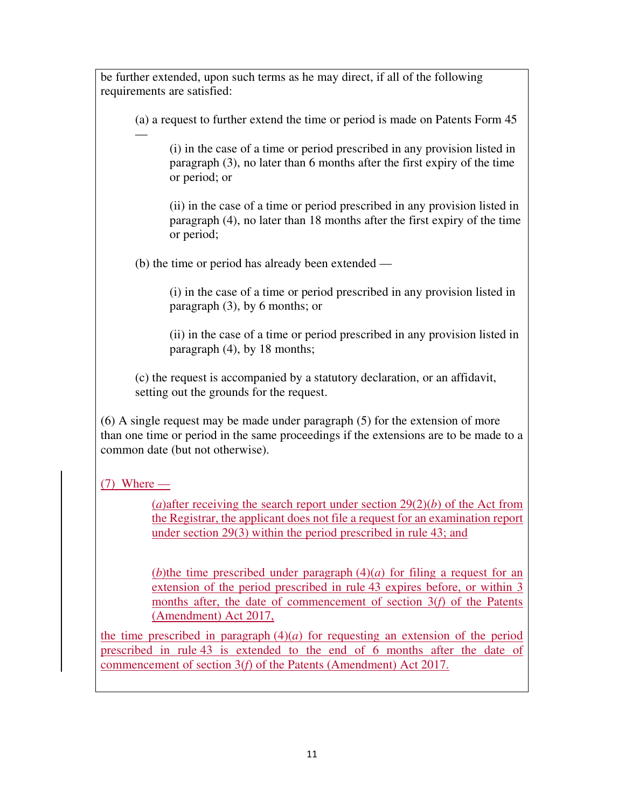be further extended, upon such terms as he may direct, if all of the following requirements are satisfied: (a) a request to further extend the time or period is made on Patents Form 45 — (i) in the case of a time or period prescribed in any provision listed in paragraph (3), no later than 6 months after the first expiry of the time or period; or (ii) in the case of a time or period prescribed in any provision listed in paragraph (4), no later than 18 months after the first expiry of the time or period; (b) the time or period has already been extended — (i) in the case of a time or period prescribed in any provision listed in paragraph (3), by 6 months; or (ii) in the case of a time or period prescribed in any provision listed in paragraph (4), by 18 months; (c) the request is accompanied by a statutory declaration, or an affidavit, setting out the grounds for the request. (6) A single request may be made under paragraph (5) for the extension of more than one time or period in the same proceedings if the extensions are to be made to a common date (but not otherwise).  $(7)$  Where — (*a*)after receiving the search report under section  $29(2)(b)$  of the Act from the Registrar, the applicant does not file a request for an examination report under section 29(3) within the period prescribed in rule 43; and (*b*)the time prescribed under paragraph  $(4)(a)$  for filing a request for an extension of the period prescribed in rule 43 expires before, or within 3 months after, the date of commencement of section 3(*f*) of the Patents (Amendment) Act 2017, the time prescribed in paragraph  $(4)(a)$  for requesting an extension of the period prescribed in rule 43 is extended to the end of 6 months after the date of commencement of section 3(*f*) of the Patents (Amendment) Act 2017.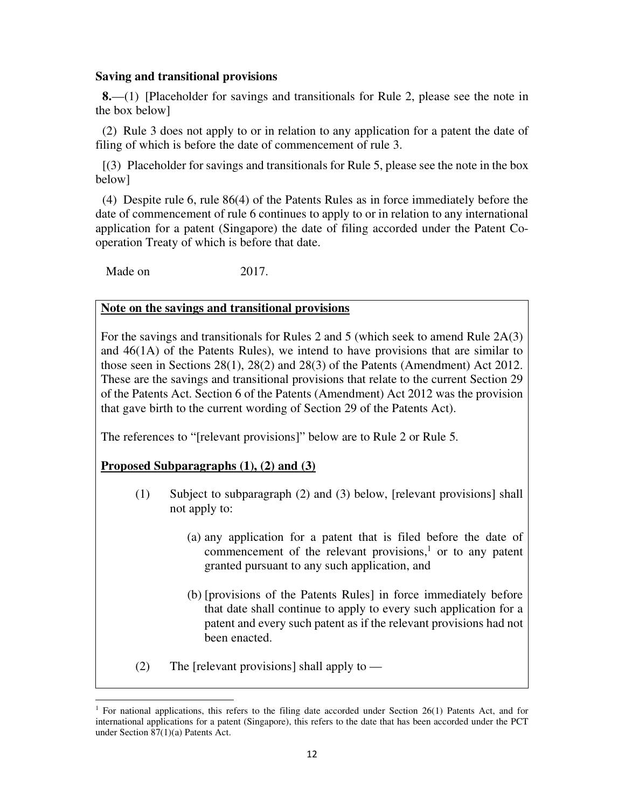## **Saving and transitional provisions**

**8.**—(1) [Placeholder for savings and transitionals for Rule 2, please see the note in the box below]

(2) Rule 3 does not apply to or in relation to any application for a patent the date of filing of which is before the date of commencement of rule 3.

[(3) Placeholder for savings and transitionals for Rule 5, please see the note in the box below]

(4) Despite rule 6, rule 86(4) of the Patents Rules as in force immediately before the date of commencement of rule 6 continues to apply to or in relation to any international application for a patent (Singapore) the date of filing accorded under the Patent Cooperation Treaty of which is before that date.

Made on 2017.

## **Note on the savings and transitional provisions**

For the savings and transitionals for Rules 2 and 5 (which seek to amend Rule 2A(3) and 46(1A) of the Patents Rules), we intend to have provisions that are similar to those seen in Sections 28(1), 28(2) and 28(3) of the Patents (Amendment) Act 2012. These are the savings and transitional provisions that relate to the current Section 29 of the Patents Act. Section 6 of the Patents (Amendment) Act 2012 was the provision that gave birth to the current wording of Section 29 of the Patents Act).

The references to "[relevant provisions]" below are to Rule 2 or Rule 5.

**Proposed Subparagraphs (1), (2) and (3)**

.

- (1) Subject to subparagraph (2) and (3) below, [relevant provisions] shall not apply to:
	- (a) any application for a patent that is filed before the date of commencement of the relevant provisions, $\frac{1}{1}$  or to any patent granted pursuant to any such application, and
	- (b) [provisions of the Patents Rules] in force immediately before that date shall continue to apply to every such application for a patent and every such patent as if the relevant provisions had not been enacted.
- (2) The [relevant provisions] shall apply to  $-$

<sup>&</sup>lt;sup>1</sup> For national applications, this refers to the filing date accorded under Section 26(1) Patents Act, and for international applications for a patent (Singapore), this refers to the date that has been accorded under the PCT under Section 87(1)(a) Patents Act.